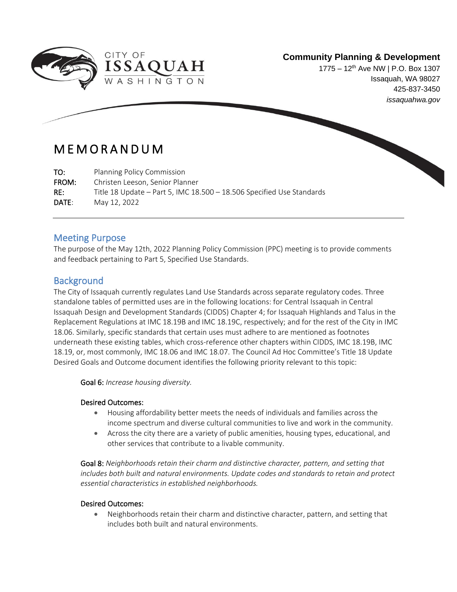

1775 – 12<sup>th</sup> Ave NW | P.O. Box 1307 Issaquah, WA 98027 425-837-3450 *issaquahwa.gov*

## M E M O R A N D U M

TO: Planning Policy Commission

FROM: Christen Leeson, Senior Planner

RE: Title 18 Update – Part 5, IMC 18.500 – 18.506 Specified Use Standards

DATE: May 12, 2022

ł

## Meeting Purpose

The purpose of the May 12th, 2022 Planning Policy Commission (PPC) meeting is to provide comments and feedback pertaining to Part 5, Specified Use Standards.

## **Background**

The City of Issaquah currently regulates Land Use Standards across separate regulatory codes. Three standalone tables of permitted uses are in the following locations: for Central Issaquah in Central Issaquah Design and Development Standards (CIDDS) Chapter 4; for Issaquah Highlands and Talus in the Replacement Regulations at IMC 18.19B and IMC 18.19C, respectively; and for the rest of the City in IMC 18.06. Similarly, specific standards that certain uses must adhere to are mentioned as footnotes underneath these existing tables, which cross-reference other chapters within CIDDS, IMC 18.19B, IMC 18.19, or, most commonly, IMC 18.06 and IMC 18.07. The Council Ad Hoc Committee's Title 18 Update Desired Goals and Outcome document identifies the following priority relevant to this topic:

Goal 6: *Increase housing diversity.*

#### Desired Outcomes:

- Housing affordability better meets the needs of individuals and families across the income spectrum and diverse cultural communities to live and work in the community.
- Across the city there are a variety of public amenities, housing types, educational, and other services that contribute to a livable community.

Goal 8: *Neighborhoods retain their charm and distinctive character, pattern, and setting that includes both built and natural environments. Update codes and standards to retain and protect essential characteristics in established neighborhoods.*

#### Desired Outcomes:

• Neighborhoods retain their charm and distinctive character, pattern, and setting that includes both built and natural environments.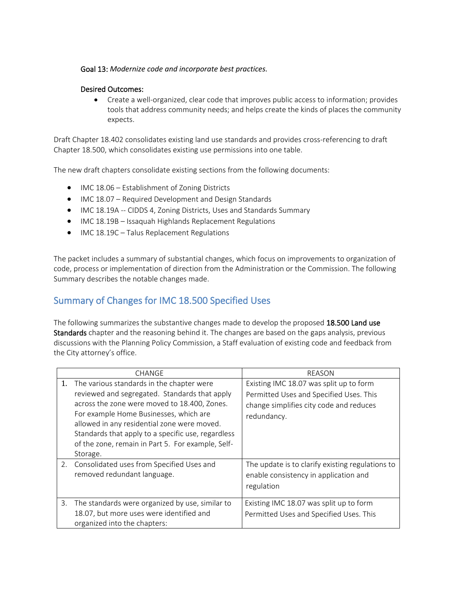#### Goal 13: *Modernize code and incorporate best practices.*

#### Desired Outcomes:

• Create a well-organized, clear code that improves public access to information; provides tools that address community needs; and helps create the kinds of places the community expects.

Draft Chapter 18.402 consolidates existing land use standards and provides cross-referencing to draft Chapter 18.500, which consolidates existing use permissions into one table.

The new draft chapters consolidate existing sections from the following documents:

- IMC 18.06 Establishment of Zoning Districts
- IMC 18.07 Required Development and Design Standards
- IMC 18.19A -- CIDDS 4, Zoning Districts, Uses and Standards Summary
- IMC 18.19B Issaquah Highlands Replacement Regulations
- IMC 18.19C Talus Replacement Regulations

The packet includes a summary of substantial changes, which focus on improvements to organization of code, process or implementation of direction from the Administration or the Commission. The following Summary describes the notable changes made.

## Summary of Changes for IMC 18.500 Specified Uses

The following summarizes the substantive changes made to develop the proposed 18.500 Land use Standards chapter and the reasoning behind it. The changes are based on the gaps analysis, previous discussions with the Planning Policy Commission, a Staff evaluation of existing code and feedback from the City attorney's office.

|    | CHANGE                                                                                                                                                                                                                                                                                                                                                     | REASON                                                                                                                                       |  |
|----|------------------------------------------------------------------------------------------------------------------------------------------------------------------------------------------------------------------------------------------------------------------------------------------------------------------------------------------------------------|----------------------------------------------------------------------------------------------------------------------------------------------|--|
| 1. | The various standards in the chapter were<br>reviewed and segregated. Standards that apply<br>across the zone were moved to 18.400, Zones.<br>For example Home Businesses, which are<br>allowed in any residential zone were moved.<br>Standards that apply to a specific use, regardless<br>of the zone, remain in Part 5. For example, Self-<br>Storage. | Existing IMC 18.07 was split up to form<br>Permitted Uses and Specified Uses. This<br>change simplifies city code and reduces<br>redundancy. |  |
|    | 2. Consolidated uses from Specified Uses and<br>removed redundant language.                                                                                                                                                                                                                                                                                | The update is to clarify existing regulations to<br>enable consistency in application and<br>regulation                                      |  |
|    | 3. The standards were organized by use, similar to<br>18.07, but more uses were identified and<br>organized into the chapters:                                                                                                                                                                                                                             | Existing IMC 18.07 was split up to form<br>Permitted Uses and Specified Uses. This                                                           |  |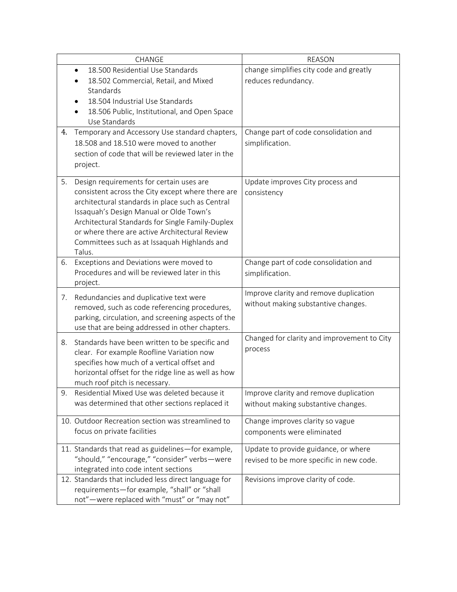|    | CHANGE                                                                                                | <b>REASON</b>                               |  |
|----|-------------------------------------------------------------------------------------------------------|---------------------------------------------|--|
|    | 18.500 Residential Use Standards<br>$\bullet$                                                         | change simplifies city code and greatly     |  |
|    | 18.502 Commercial, Retail, and Mixed                                                                  | reduces redundancy.                         |  |
|    | Standards                                                                                             |                                             |  |
|    | 18.504 Industrial Use Standards                                                                       |                                             |  |
|    | 18.506 Public, Institutional, and Open Space                                                          |                                             |  |
|    | Use Standards                                                                                         |                                             |  |
| 4. | Temporary and Accessory Use standard chapters,                                                        | Change part of code consolidation and       |  |
|    | 18.508 and 18.510 were moved to another                                                               | simplification.                             |  |
|    | section of code that will be reviewed later in the                                                    |                                             |  |
|    | project.                                                                                              |                                             |  |
| 5. | Design requirements for certain uses are                                                              | Update improves City process and            |  |
|    | consistent across the City except where there are                                                     | consistency                                 |  |
|    | architectural standards in place such as Central                                                      |                                             |  |
|    | Issaquah's Design Manual or Olde Town's                                                               |                                             |  |
|    | Architectural Standards for Single Family-Duplex                                                      |                                             |  |
|    | or where there are active Architectural Review                                                        |                                             |  |
|    | Committees such as at Issaquah Highlands and                                                          |                                             |  |
|    | Talus.                                                                                                |                                             |  |
| 6. | Exceptions and Deviations were moved to<br>Procedures and will be reviewed later in this              | Change part of code consolidation and       |  |
|    | project.                                                                                              | simplification.                             |  |
|    |                                                                                                       | Improve clarity and remove duplication      |  |
| 7. | Redundancies and duplicative text were                                                                | without making substantive changes.         |  |
|    | removed, such as code referencing procedures,                                                         |                                             |  |
|    | parking, circulation, and screening aspects of the<br>use that are being addressed in other chapters. |                                             |  |
|    |                                                                                                       | Changed for clarity and improvement to City |  |
| 8. | Standards have been written to be specific and                                                        | process                                     |  |
|    | clear. For example Roofline Variation now                                                             |                                             |  |
|    | specifies how much of a vertical offset and                                                           |                                             |  |
|    | horizontal offset for the ridge line as well as how<br>much roof pitch is necessary.                  |                                             |  |
| 9. | Residential Mixed Use was deleted because it                                                          | Improve clarity and remove duplication      |  |
|    | was determined that other sections replaced it                                                        | without making substantive changes.         |  |
|    |                                                                                                       |                                             |  |
|    | 10. Outdoor Recreation section was streamlined to                                                     | Change improves clarity so vague            |  |
|    | focus on private facilities                                                                           | components were eliminated                  |  |
|    | 11. Standards that read as guidelines-for example,                                                    | Update to provide guidance, or where        |  |
|    | "should," "encourage," "consider" verbs-were                                                          | revised to be more specific in new code.    |  |
|    | integrated into code intent sections                                                                  |                                             |  |
|    | 12. Standards that included less direct language for                                                  | Revisions improve clarity of code.          |  |
|    | requirements-for example, "shall" or "shall                                                           |                                             |  |
|    | not"-were replaced with "must" or "may not"                                                           |                                             |  |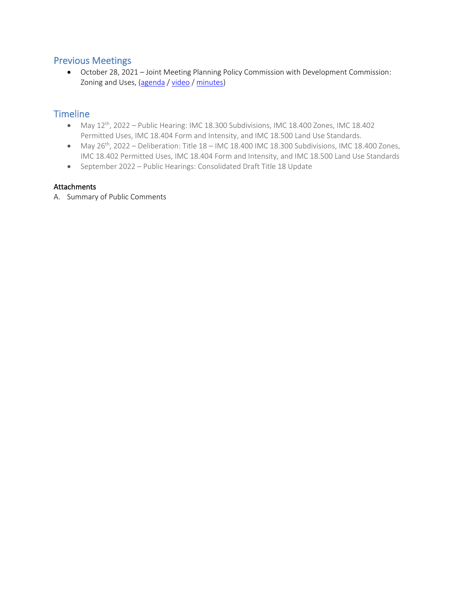### Previous Meetings

• October 28, 2021 – Joint Meeting Planning Policy Commission with Development Commission: Zoning and Uses, [\(agenda](https://issaquah.civicweb.net/document/146907?printPdf=true) / [video](https://youtu.be/fWy0JlRvJXc) / [minutes\)](https://issaquah.civicweb.net/document/148581)

## **Timeline**

- May  $12^{th}$ , 2022 Public Hearing: IMC 18.300 Subdivisions, IMC 18.400 Zones, IMC 18.402 Permitted Uses, IMC 18.404 Form and Intensity, and IMC 18.500 Land Use Standards.
- May  $26^{th}$ , 2022 Deliberation: Title  $18 -$  IMC 18.400 IMC 18.300 Subdivisions, IMC 18.400 Zones, IMC 18.402 Permitted Uses, IMC 18.404 Form and Intensity, and IMC 18.500 Land Use Standards
- September 2022 Public Hearings: Consolidated Draft Title 18 Update

#### Attachments

A. Summary of Public Comments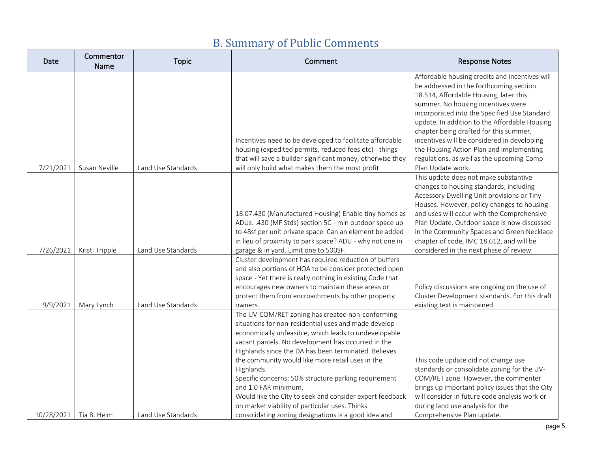| Date       | Commentor<br>Name | <b>Topic</b>       | Comment                                                                                                                                                                                                                                                                                                                                                                                                                                                                                                                                                                                                 | <b>Response Notes</b>                                                                                                                                                                                                                                                                                                                                                                                                                                                             |
|------------|-------------------|--------------------|---------------------------------------------------------------------------------------------------------------------------------------------------------------------------------------------------------------------------------------------------------------------------------------------------------------------------------------------------------------------------------------------------------------------------------------------------------------------------------------------------------------------------------------------------------------------------------------------------------|-----------------------------------------------------------------------------------------------------------------------------------------------------------------------------------------------------------------------------------------------------------------------------------------------------------------------------------------------------------------------------------------------------------------------------------------------------------------------------------|
| 7/21/2021  | Susan Neville     | Land Use Standards | Incentives need to be developed to facilitate affordable<br>housing (expedited permits, reduced fees etc) - things<br>that will save a builder significant money, otherwise they<br>will only build what makes them the most profit                                                                                                                                                                                                                                                                                                                                                                     | Affordable housing credits and incentives will<br>be addressed in the forthcoming section<br>18.514, Affordable Housing, later this<br>summer. No housing incentives were<br>incorporated into the Specified Use Standard<br>update. In addition to the Affordable Housing<br>chapter being drafted for this summer,<br>incentives will be considered in developing<br>the Housing Action Plan and implementing<br>regulations, as well as the upcoming Comp<br>Plan Update work. |
| 7/26/2021  | Kristi Tripple    | Land Use Standards | 18.07.430 (Manufactured Housing) Enable tiny homes as<br>ADUs. .430 (MF Stds) section 5C - min outdoor space up<br>to 48sf per unit private space. Can an element be added<br>in lieu of proximity to park space? ADU - why not one in<br>garage & in yard. Limit one to 500SF.                                                                                                                                                                                                                                                                                                                         | This update does not make substantive<br>changes to housing standards, including<br>Accessory Dwelling Unit provisions or Tiny<br>Houses. However, policy changes to housing<br>and uses will occur with the Comprehensive<br>Plan Update. Outdoor space is now discussed<br>in the Community Spaces and Green Necklace<br>chapter of code, IMC 18.612, and will be<br>considered in the next phase of review                                                                     |
| 9/9/2021   | Mary Lynch        | Land Use Standards | Cluster development has required reduction of buffers<br>and also portions of HOA to be consider protected open<br>space - Yet there is really nothing in existing Code that<br>encourages new owners to maintain these areas or<br>protect them from encroachments by other property<br>owners.                                                                                                                                                                                                                                                                                                        | Policy discussions are ongoing on the use of<br>Cluster Development standards. For this draft<br>existing text is maintained                                                                                                                                                                                                                                                                                                                                                      |
| 10/28/2021 | Tia B. Heim       | Land Use Standards | The UV-COM/RET zoning has created non-conforming<br>situations for non-residential uses and made develop<br>economically unfeasible, which leads to undevelopable<br>vacant parcels. No development has occurred in the<br>Highlands since the DA has been terminated. Believes<br>the community would like more retail uses in the<br>Highlands.<br>Specific concerns: 50% structure parking requirement<br>and 1.0 FAR minimum.<br>Would like the City to seek and consider expert feedback<br>on market viability of particular uses. Thinks<br>consolidating zoning designations is a good idea and | This code update did not change use<br>standards or consolidate zoning for the UV-<br>COM/RET zone. However, the commenter<br>brings up important policy issues that the City<br>will consider in future code analysis work or<br>during land use analysis for the<br>Comprehensive Plan update.                                                                                                                                                                                  |

# B. Summary of Public Comments